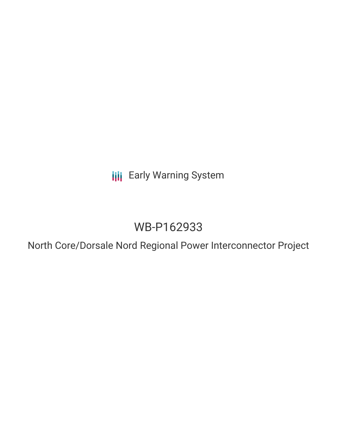**III** Early Warning System

# WB-P162933

North Core/Dorsale Nord Regional Power Interconnector Project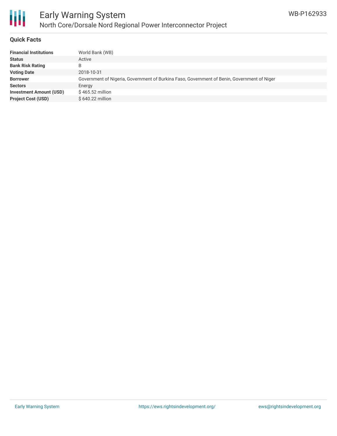

#### **Quick Facts**

| World Bank (WB)                                                                             |
|---------------------------------------------------------------------------------------------|
| Active                                                                                      |
| B                                                                                           |
| 2018-10-31                                                                                  |
| Government of Nigeria, Government of Burkina Faso, Government of Benin, Government of Niger |
| Energy                                                                                      |
| $$465.52$ million                                                                           |
| \$640.22 million                                                                            |
|                                                                                             |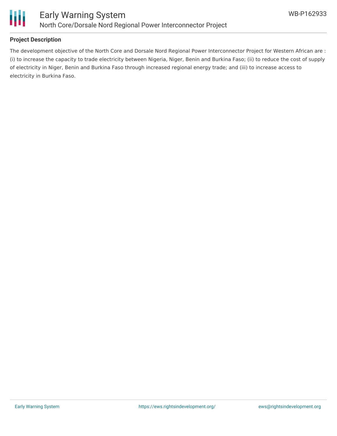

## **Project Description**

The development objective of the North Core and Dorsale Nord Regional Power Interconnector Project for Western African are : (i) to increase the capacity to trade electricity between Nigeria, Niger, Benin and Burkina Faso; (ii) to reduce the cost of supply of electricity in Niger, Benin and Burkina Faso through increased regional energy trade; and (iii) to increase access to electricity in Burkina Faso.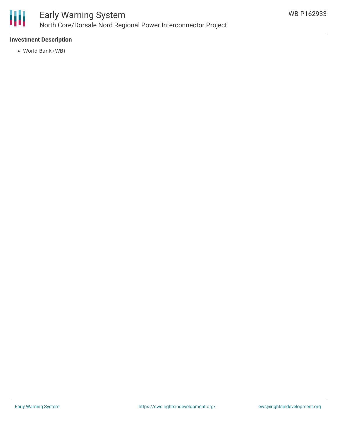

## **Investment Description**

World Bank (WB)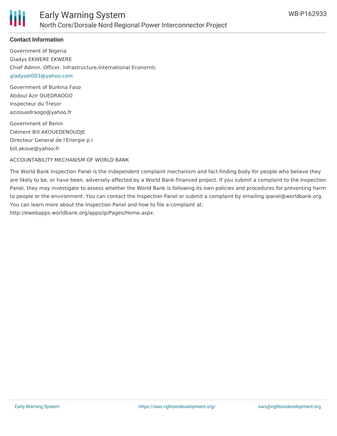

#### **Contact Information**

Government of Nigeria Gladys EKWERE EKWERE Chief Admin. Officer, lnfrastructure,International Econornlc [gladyset003@yahoo.com](mailto:gladyset003@yahoo.com)

Government of Burkina Faso Abdoul Azir OUEDRAOGO Inspecteur du Tresor azizouedraogo@yahoo.fr

Government of Benin Clément Bill AKOUEDENOUDJE Directeur General de l'Energie p.i bill.akoue@yahoo.fr

ACCOUNTABILITY MECHANISM OF WORLD BANK

The World Bank Inspection Panel is the independent complaint mechanism and fact-finding body for people who believe they are likely to be, or have been, adversely affected by a World Bank-financed project. If you submit a complaint to the Inspection Panel, they may investigate to assess whether the World Bank is following its own policies and procedures for preventing harm to people or the environment. You can contact the Inspection Panel or submit a complaint by emailing ipanel@worldbank.org. You can learn more about the Inspection Panel and how to file a complaint at: http://ewebapps.worldbank.org/apps/ip/Pages/Home.aspx.